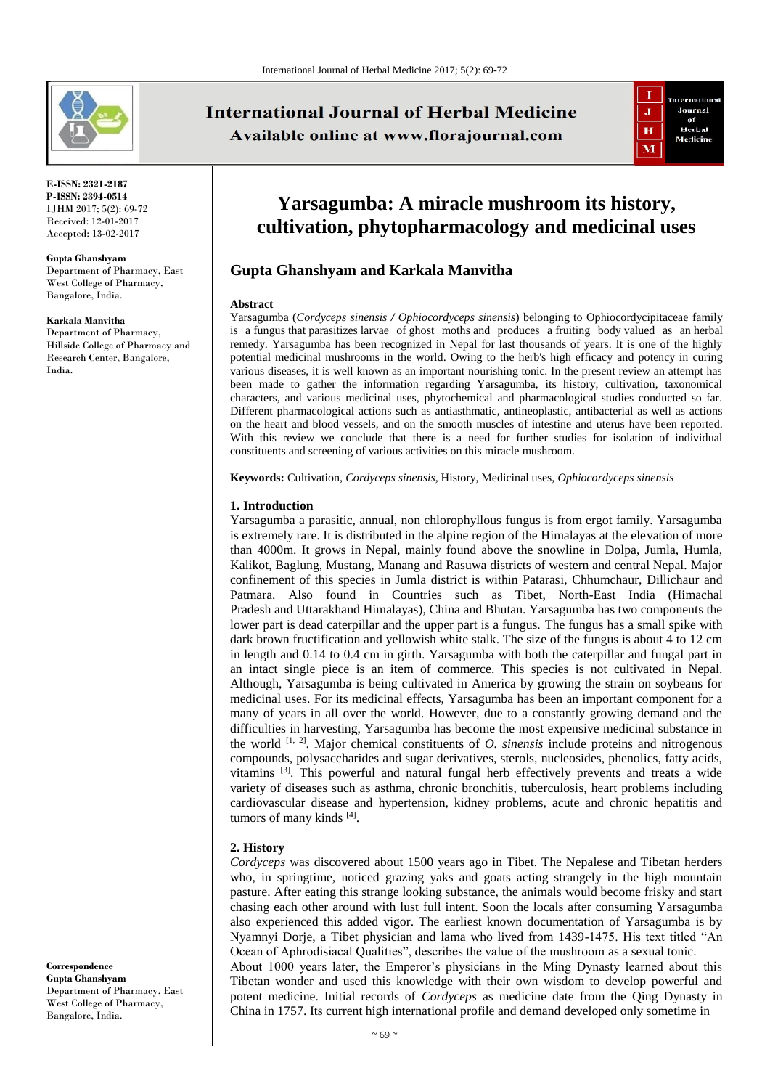

**E-ISSN: 2321-2187 P-ISSN: 2394-0514** IJHM 2017; 5(2): 69-72 Received: 12-01-2017 Accepted: 13-02-2017

#### **Gupta Ghanshyam**

Department of Pharmacy, East West College of Pharmacy, Bangalore, India.

#### **Karkala Manvitha**

Department of Pharmacy, Hillside College of Pharmacy and Research Center, Bangalore, India.

**International Journal of Herbal Medicine** Available online at www.florajournal.com



# **Yarsagumba: A miracle mushroom its history, cultivation, phytopharmacology and medicinal uses**

## **Gupta Ghanshyam and Karkala Manvitha**

#### **Abstract**

Yarsagumba (*Cordyceps sinensis / Ophiocordyceps sinensis*) belonging to Ophiocordycipitaceae family is a fungus that parasitizes larvae of ghost moths and produces a fruiting body valued as an herbal remedy. Yarsagumba has been recognized in Nepal for last thousands of years. It is one of the highly potential medicinal mushrooms in the world. Owing to the herb's high efficacy and potency in curing various diseases, it is well known as an important nourishing tonic. In the present review an attempt has been made to gather the information regarding Yarsagumba, its history, cultivation, taxonomical characters, and various medicinal uses, phytochemical and pharmacological studies conducted so far. Different pharmacological actions such as antiasthmatic, antineoplastic, antibacterial as well as actions on the heart and blood vessels, and on the smooth muscles of intestine and uterus have been reported. With this review we conclude that there is a need for further studies for isolation of individual constituents and screening of various activities on this miracle mushroom.

**Keywords:** Cultivation, *Cordyceps sinensis,* History, Medicinal uses, *Ophiocordyceps sinensis*

#### **1. Introduction**

Yarsagumba a parasitic, annual, non chlorophyllous fungus is from ergot family. Yarsagumba is extremely rare. It is distributed in the alpine region of the Himalayas at the elevation of more than 4000m. It grows in Nepal, mainly found above the snowline in Dolpa, Jumla, Humla, Kalikot, Baglung, Mustang, Manang and Rasuwa districts of western and central Nepal. Major confinement of this species in Jumla district is within Patarasi, Chhumchaur, Dillichaur and Patmara. Also found in Countries such as Tibet, North-East India (Himachal Pradesh and Uttarakhand Himalayas), China and Bhutan. Yarsagumba has two components the lower part is dead caterpillar and the upper part is a fungus. The fungus has a small spike with dark brown fructification and yellowish white stalk. The size of the fungus is about 4 to 12 cm in length and 0.14 to 0.4 cm in girth. Yarsagumba with both the caterpillar and fungal part in an intact single piece is an item of commerce. This species is not cultivated in Nepal. Although, Yarsagumba is being cultivated in America by growing the strain on soybeans for medicinal uses. For its medicinal effects, Yarsagumba has been an important component for a many of years in all over the world. However, due to a constantly growing demand and the difficulties in harvesting, Yarsagumba has become the most expensive medicinal substance in the world [1, 2]. Major chemical constituents of *O. sinensis* include proteins and nitrogenous compounds, polysaccharides and sugar derivatives, sterols, nucleosides, phenolics, fatty acids, vitamins  $[3]$ . This powerful and natural fungal herb effectively prevents and treats a wide variety of diseases such as asthma, chronic bronchitis, tuberculosis, heart problems including cardiovascular disease and hypertension, kidney problems, acute and chronic hepatitis and tumors of many kinds [4].

#### **2. History**

*Cordyceps* was discovered about 1500 years ago in Tibet. The Nepalese and Tibetan herders who, in springtime, noticed grazing yaks and goats acting strangely in the high mountain pasture. After eating this strange looking substance, the animals would become frisky and start chasing each other around with lust full intent. Soon the locals after consuming Yarsagumba also experienced this added vigor. The earliest known documentation of Yarsagumba is by Nyamnyi Dorje, a Tibet physician and lama who lived from 1439-1475. His text titled "An Ocean of Aphrodisiacal Qualities", describes the value of the mushroom as a sexual tonic. About 1000 years later, the Emperor's physicians in the Ming Dynasty learned about this Tibetan wonder and used this knowledge with their own wisdom to develop powerful and potent medicine. Initial records of *Cordyceps* as medicine date from the Qing Dynasty in China in 1757. Its current high international profile and demand developed only sometime in

**Correspondence Gupta Ghanshyam** Department of Pharmacy, East West College of Pharmacy, Bangalore, India.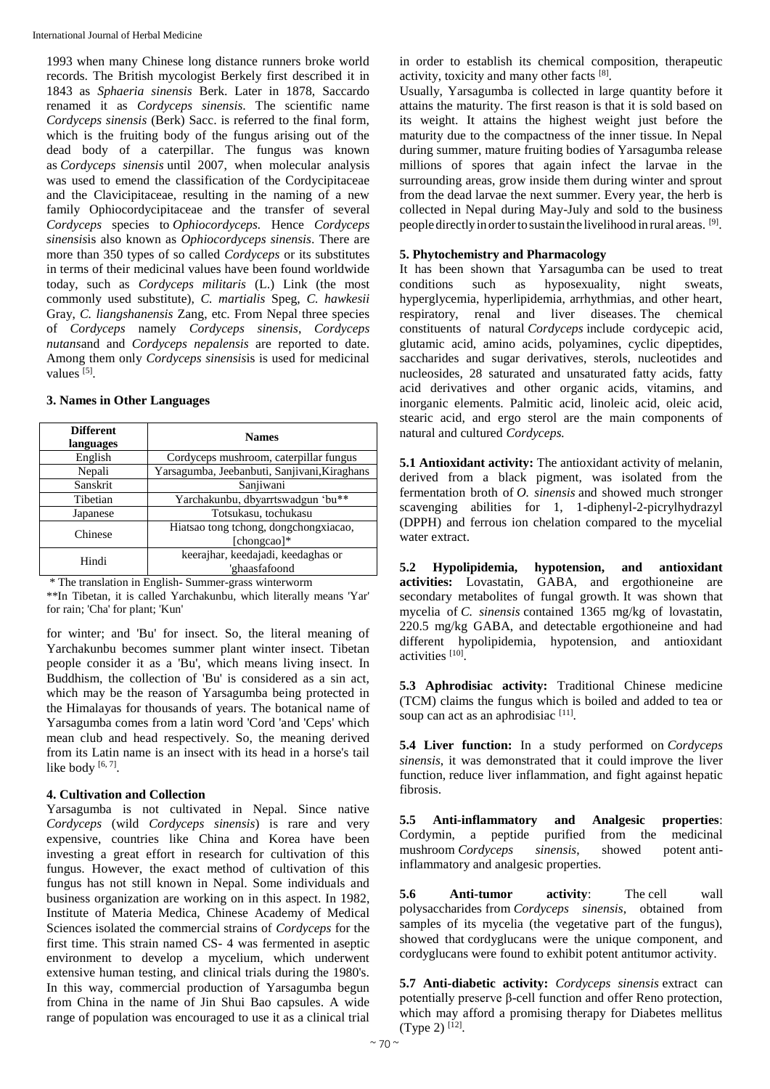1993 when many Chinese long distance runners broke world records. The British mycologist Berkely first described it in 1843 as *Sphaeria sinensis* Berk. Later in 1878, Saccardo renamed it as *Cordyceps sinensis*. The scientific name *Cordyceps sinensis* (Berk) Sacc. is referred to the final form, which is the fruiting body of the fungus arising out of the dead body of a caterpillar. The fungus was known as *Cordyceps sinensis* until 2007, when molecular analysis was used to emend the classification of the Cordycipitaceae and the Clavicipitaceae, resulting in the naming of a new family Ophiocordycipitaceae and the transfer of several *Cordyceps* species to *Ophiocordyceps.* Hence *Cordyceps sinensis*is also known as *Ophiocordyceps sinensis*. There are more than 350 types of so called *Cordyceps* or its substitutes in terms of their medicinal values have been found worldwide today, such as *Cordyceps militaris* (L.) Link (the most commonly used substitute), *C. martialis* Speg, *C. hawkesii*  Gray, *C. liangshanensis* Zang, etc. From Nepal three species of *Cordyceps* namely *Cordyceps sinensis*, *Cordyceps nutans*and and *Cordyceps nepalensis* are reported to date. Among them only *Cordyceps sinensis*is is used for medicinal values [5].

### **3. Names in Other Languages**

| <b>Different</b><br>languages | <b>Names</b>                                            |
|-------------------------------|---------------------------------------------------------|
| English                       | Cordyceps mushroom, caterpillar fungus                  |
| Nepali                        | Yarsagumba, Jeebanbuti, Sanjivani, Kiraghans            |
| Sanskrit                      | Sanjiwani                                               |
| Tibetian                      | Yarchakunbu, dbyarrtswadgun 'bu**                       |
| Japanese                      | Totsukasu, tochukasu                                    |
| Chinese                       | Hiatsao tong tchong, dongchongxiacao,<br>[chongcao] $*$ |
| Hindi                         | keerajhar, keedajadi, keedaghas or<br>'ghaasfafoond     |

\* The translation in English- Summer-grass winterworm

\*\*In Tibetan, it is called Yarchakunbu, which literally means 'Yar' for rain; 'Cha' for plant; 'Kun'

for winter; and 'Bu' for insect. So, the literal meaning of Yarchakunbu becomes summer plant winter insect. Tibetan people consider it as a 'Bu', which means living insect. In Buddhism, the collection of 'Bu' is considered as a sin act, which may be the reason of Yarsagumba being protected in the Himalayas for thousands of years. The botanical name of Yarsagumba comes from a latin word 'Cord 'and 'Ceps' which mean club and head respectively. So, the meaning derived from its Latin name is an insect with its head in a horse's tail like body  $[6, 7]$ .

### **4. Cultivation and Collection**

Yarsagumba is not cultivated in Nepal. Since native *Cordyceps* (wild *Cordyceps sinensis*) is rare and very expensive, countries like China and Korea have been investing a great effort in research for cultivation of this fungus. However, the exact method of cultivation of this fungus has not still known in Nepal. Some individuals and business organization are working on in this aspect. In 1982, Institute of Materia Medica, Chinese Academy of Medical Sciences isolated the commercial strains of *Cordyceps* for the first time. This strain named CS- 4 was fermented in aseptic environment to develop a mycelium, which underwent extensive human testing, and clinical trials during the 1980's. In this way, commercial production of Yarsagumba begun from China in the name of Jin Shui Bao capsules. A wide range of population was encouraged to use it as a clinical trial

in order to establish its chemical composition, therapeutic activity, toxicity and many other facts [8].

Usually, Yarsagumba is collected in large quantity before it attains the maturity. The first reason is that it is sold based on its weight. It attains the highest weight just before the maturity due to the compactness of the inner tissue. In Nepal during summer, mature fruiting bodies of Yarsagumba release millions of spores that again infect the larvae in the surrounding areas, grow inside them during winter and sprout from the dead larvae the next summer. Every year, the herb is collected in Nepal during May-July and sold to the business people directly in order to sustain the livelihood in rural areas. [9].

## **5. Phytochemistry and Pharmacology**

It has been shown that Yarsagumba can be used to treat conditions such as hyposexuality, night sweats. conditions such as hyposexuality, night sweats, hyperglycemia, hyperlipidemia, arrhythmias, and other heart, respiratory, renal and liver diseases. The chemical constituents of natural *Cordyceps* include cordycepic acid, glutamic acid, amino acids, polyamines, cyclic dipeptides, saccharides and sugar derivatives, sterols, nucleotides and nucleosides, 28 saturated and unsaturated fatty acids, fatty acid derivatives and other organic acids, vitamins, and inorganic elements. Palmitic acid, linoleic acid, oleic acid, stearic acid, and ergo sterol are the main components of natural and cultured *Cordyceps.*

**5.1 Antioxidant activity:** The antioxidant activity of melanin, derived from a black pigment, was isolated from the fermentation broth of *O. sinensis* and showed much stronger scavenging abilities for 1, 1-diphenyl-2-picrylhydrazyl (DPPH) and ferrous ion chelation compared to the mycelial water extract.

**5.2 Hypolipidemia, hypotension, and antioxidant activities:** Lovastatin, GABA, and ergothioneine are secondary metabolites of fungal growth. It was shown that mycelia of *C. sinensis* contained 1365 mg/kg of lovastatin, 220.5 mg/kg GABA, and detectable ergothioneine and had different hypolipidemia, hypotension, and antioxidant activities [10].

**5.3 Aphrodisiac activity:** Traditional Chinese medicine (TCM) claims the fungus which is boiled and added to tea or soup can act as an aphrodisiac  $[11]$ .

**5.4 Liver function:** In a study performed on *Cordyceps sinensis*, it was demonstrated that it could improve the liver function, reduce liver inflammation, and fight against hepatic fibrosis.

**5.5 Anti-inflammatory and Analgesic properties**: Cordymin, a peptide purified from the medicinal mushroom *Cordyceps sinensis*, showed potent antiinflammatory and analgesic properties.

**5.6 Anti-tumor activity**: The cell wall polysaccharides from *Cordyceps sinensis*, obtained from samples of its mycelia (the vegetative part of the fungus), showed that cordyglucans were the unique component, and cordyglucans were found to exhibit potent antitumor activity.

**5.7 Anti-diabetic activity:** *Cordyceps sinensis* extract can potentially preserve β-cell function and offer Reno protection, which may afford a promising therapy for Diabetes mellitus (Type 2)  $[12]$ .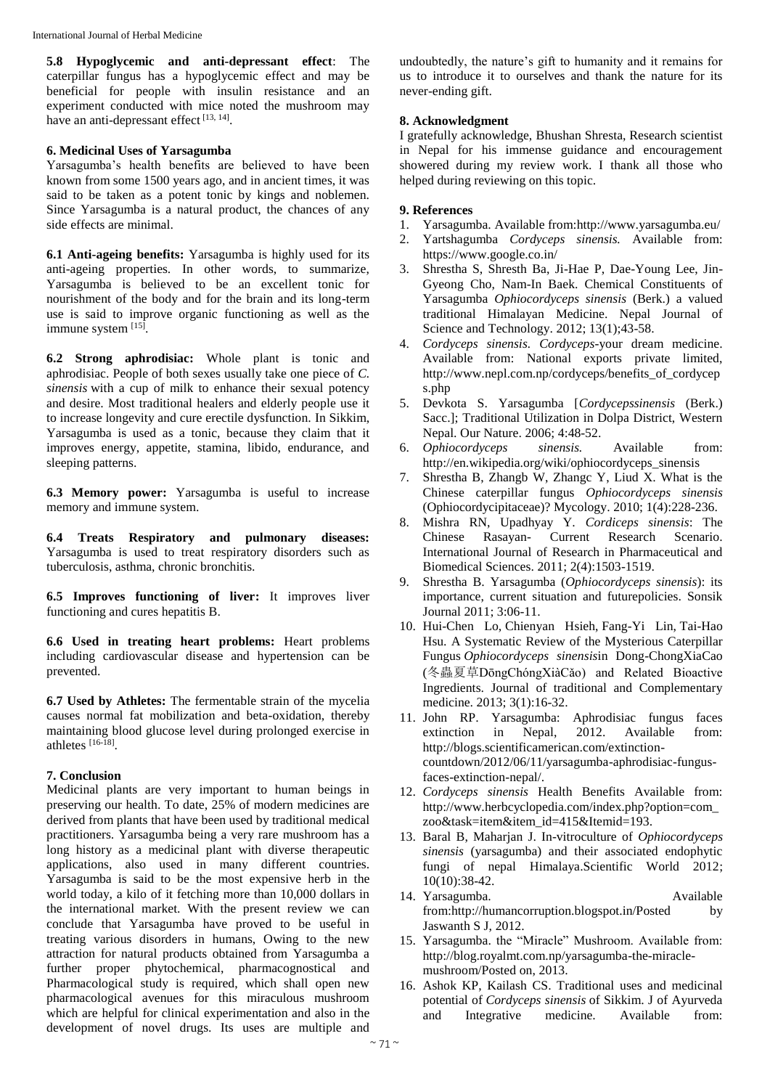**5.8 Hypoglycemic and anti-depressant effect**: The caterpillar fungus has a hypoglycemic effect and may be beneficial for people with insulin resistance and an experiment conducted with mice noted the mushroom may have an anti-depressant effect<sup>[13, 14]</sup>.

#### **6. Medicinal Uses of Yarsagumba**

Yarsagumba's health benefits are believed to have been known from some 1500 years ago, and in ancient times, it was said to be taken as a potent tonic by kings and noblemen. Since Yarsagumba is a natural product, the chances of any side effects are minimal.

**6.1 Anti-ageing benefits:** Yarsagumba is highly used for its anti-ageing properties. In other words, to summarize, Yarsagumba is believed to be an excellent tonic for nourishment of the body and for the brain and its long-term use is said to improve organic functioning as well as the immune system [15].

**6.2 Strong aphrodisiac:** Whole plant is tonic and aphrodisiac. People of both sexes usually take one piece of *C. sinensis* with a cup of milk to enhance their sexual potency and desire. Most traditional healers and elderly people use it to increase longevity and cure erectile dysfunction. In Sikkim, Yarsagumba is used as a tonic, because they claim that it improves energy, appetite, stamina, libido, endurance, and sleeping patterns.

**6.3 Memory power:** Yarsagumba is useful to increase memory and immune system.

**6.4 Treats Respiratory and pulmonary diseases:** Yarsagumba is used to treat respiratory disorders such as tuberculosis, asthma, chronic bronchitis.

**6.5 Improves functioning of liver:** It improves liver functioning and cures hepatitis B.

**6.6 Used in treating heart problems:** Heart problems including cardiovascular disease and hypertension can be prevented.

**6.7 Used by Athletes:** The fermentable strain of the mycelia causes normal fat mobilization and beta-oxidation, thereby maintaining blood glucose level during prolonged exercise in athletes [16-18] .

### **7. Conclusion**

Medicinal plants are very important to human beings in preserving our health. To date, 25% of modern medicines are derived from plants that have been used by traditional medical practitioners. Yarsagumba being a very rare mushroom has a long history as a medicinal plant with diverse therapeutic applications, also used in many different countries. Yarsagumba is said to be the most expensive herb in the world today, a kilo of it fetching more than 10,000 dollars in the international market. With the present review we can conclude that Yarsagumba have proved to be useful in treating various disorders in humans, Owing to the new attraction for natural products obtained from Yarsagumba a further proper phytochemical, pharmacognostical and Pharmacological study is required, which shall open new pharmacological avenues for this miraculous mushroom which are helpful for clinical experimentation and also in the development of novel drugs. Its uses are multiple and

undoubtedly, the nature's gift to humanity and it remains for us to introduce it to ourselves and thank the nature for its never-ending gift.

## **8. Acknowledgment**

I gratefully acknowledge, Bhushan Shresta, Research scientist in Nepal for his immense guidance and encouragement showered during my review work. I thank all those who helped during reviewing on this topic.

## **9. References**

- 1. Yarsagumba. Available from:http://www.yarsagumba.eu/
- 2. Yartshagumba *Cordyceps sinensis.* Available from: https://www.google.co.in/
- 3. Shrestha S, Shresth Ba, Ji-Hae P, Dae-Young Lee, Jin-Gyeong Cho, Nam-In Baek. Chemical Constituents of Yarsagumba *Ophiocordyceps sinensis* (Berk.) a valued traditional Himalayan Medicine. Nepal Journal of Science and Technology. 2012; 13(1);43-58.
- 4. *Cordyceps sinensis. Cordyceps*-your dream medicine. Available from: National exports private limited, http://www.nepl.com.np/cordyceps/benefits of cordycep s.php
- 5. Devkota S. Yarsagumba [*Cordycepssinensis* (Berk.) Sacc.]; Traditional Utilization in Dolpa District, Western Nepal. Our Nature. 2006; 4:48-52.
- 6. *Ophiocordyceps sinensis.* Available from: http://en.wikipedia.org/wiki/ophiocordyceps\_sinensis
- 7. Shrestha B, Zhangb W, Zhangc Y, Liud X. What is the Chinese caterpillar fungus *Ophiocordyceps sinensis*  (Ophiocordycipitaceae)? Mycology. 2010; 1(4):228-236.
- 8. Mishra RN, Upadhyay Y. *Cordiceps sinensis*: The Chinese Rasayan- Current Research Scenario. International Journal of Research in Pharmaceutical and Biomedical Sciences. 2011; 2(4):1503-1519.
- 9. Shrestha B. Yarsagumba (*Ophiocordyceps sinensis*): its importance, current situation and futurepolicies. Sonsik Journal 2011; 3:06-11.
- 10. Hui-Chen Lo, Chienyan Hsieh, Fang-Yi Lin, Tai-Hao Hsu. A Systematic Review of the Mysterious Caterpillar Fungus *Ophiocordyceps sinensis*in Dong-ChongXiaCao (冬蟲夏草DōngChóngXiàCǎo) and Related Bioactive Ingredients. Journal of traditional and Complementary medicine. 2013; 3(1):16-32.
- 11. John RP. Yarsagumba: Aphrodisiac fungus faces extinction in Nepal, 2012. Available from: http://blogs.scientificamerican.com/extinctioncountdown/2012/06/11/yarsagumba-aphrodisiac-fungusfaces-extinction-nepal/.
- 12. *Cordyceps sinensis* Health Benefits Available from: http://www.herbcyclopedia.com/index.php?option=com\_ zoo&task=item&item\_id=415&Itemid=193.
- 13. Baral B, Maharjan J. In-vitroculture of *Ophiocordyceps sinensis* (yarsagumba) and their associated endophytic fungi of nepal Himalaya.Scientific World 2012; 10(10):38-42.
- 14. Yarsagumba. Available from:http://humancorruption.blogspot.in/Posted by Jaswanth S J, 2012.
- 15. Yarsagumba. the "Miracle" Mushroom. Available from: http://blog.royalmt.com.np/yarsagumba-the-miraclemushroom/Posted on, 2013.
- 16. Ashok KP, Kailash CS. Traditional uses and medicinal potential of *Cordyceps sinensis* of Sikkim. J of Ayurveda and Integrative medicine. Available from: